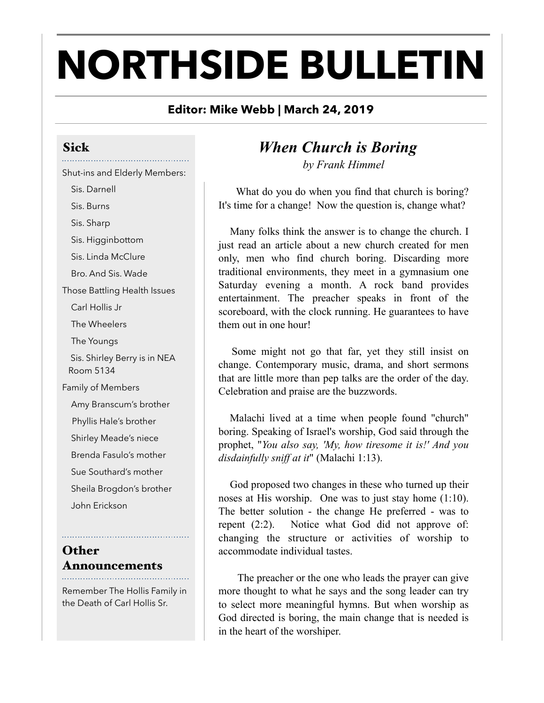# **NORTHSIDE BULLETIN**

#### **Editor: Mike Webb | March 24, 2019**

## Sick

#### Shut-ins and Elderly Members:

 Sis. Darnell Sis. Burns Sis. Sharp Sis. Higginbottom Sis. Linda McClure Bro. And Sis. Wade Those Battling Health Issues Carl Hollis Jr The Wheelers The Youngs Sis. Shirley Berry is in NEA Room 5134 Family of Members Amy Branscum's brother Phyllis Hale's brother

Shirley Meade's niece

Brenda Fasulo's mother

Sue Southard's mother

 Sheila Brogdon's brother John Erickson

#### **Other** Announcements

Remember The Hollis Family in the Death of Carl Hollis Sr.

### *When Church is Boring by Frank Himmel*

What do you do when you find that church is boring? It's time for a change! Now the question is, change what?

 Many folks think the answer is to change the church. I just read an article about a new church created for men only, men who find church boring. Discarding more traditional environments, they meet in a gymnasium one Saturday evening a month. A rock band provides entertainment. The preacher speaks in front of the scoreboard, with the clock running. He guarantees to have them out in one hour!

 Some might not go that far, yet they still insist on change. Contemporary music, drama, and short sermons that are little more than pep talks are the order of the day. Celebration and praise are the buzzwords.

 Malachi lived at a time when people found "church" boring. Speaking of Israel's worship, God said through the prophet, "*You also say, 'My, how tiresome it is!' And you disdainfully sniff at it*" (Malachi 1:13).

 God proposed two changes in these who turned up their noses at His worship. One was to just stay home (1:10). The better solution - the change He preferred - was to repent (2:2). Notice what God did not approve of: changing the structure or activities of worship to accommodate individual tastes.

 The preacher or the one who leads the prayer can give more thought to what he says and the song leader can try to select more meaningful hymns. But when worship as God directed is boring, the main change that is needed is in the heart of the worshiper.